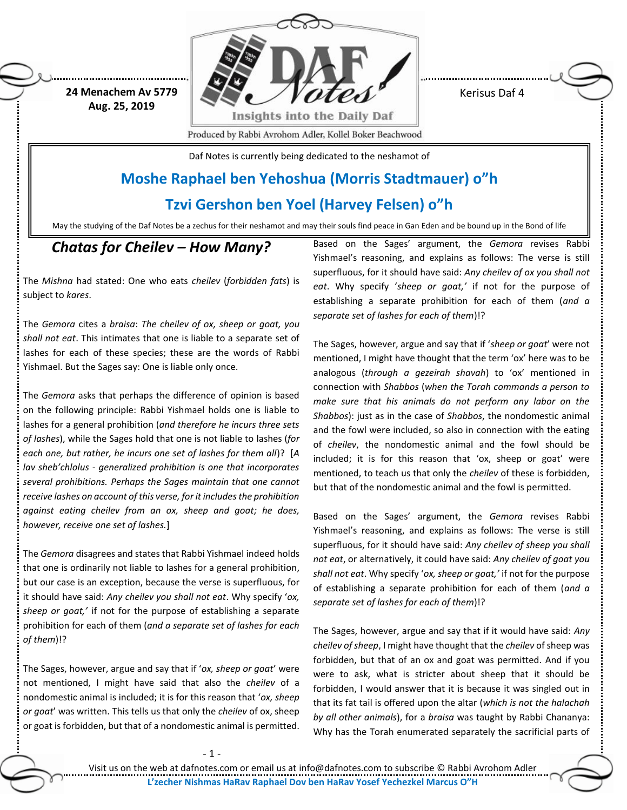**24 Menachem Av 5779 Aug. 25, 2019**



Kerisus Daf 4

Produced by Rabbi Avrohom Adler, Kollel Boker Beachwood

Daf Notes is currently being dedicated to the neshamot of

## **Moshe Raphael ben Yehoshua (Morris Stadtmauer) o"h**

#### **Tzvi Gershon ben Yoel (Harvey Felsen) o"h**

May the studying of the Daf Notes be a zechus for their neshamot and may their souls find peace in Gan Eden and be bound up in the Bond of life

### *Chatas for Cheilev – How Many?*

The *Mishna* had stated: One who eats *cheilev* (*forbidden fats*) is subject to *kares*.

The *Gemora* cites a *braisa*: *The cheilev of ox, sheep or goat, you shall not eat*. This intimates that one is liable to a separate set of lashes for each of these species; these are the words of Rabbi Yishmael. But the Sages say: One is liable only once.

The *Gemora* asks that perhaps the difference of opinion is based on the following principle: Rabbi Yishmael holds one is liable to lashes for a general prohibition (*and therefore he incurs three sets of lashes*), while the Sages hold that one is not liable to lashes (*for each one, but rather, he incurs one set of lashes for them all*)? [*A lav sheb'chlolus - generalized prohibition is one that incorporates several prohibitions. Perhaps the Sages maintain that one cannot receive lashes on account of this verse, for it includes the prohibition against eating cheilev from an ox, sheep and goat; he does, however, receive one set of lashes.*]

The *Gemora* disagrees and states that Rabbi Yishmael indeed holds that one is ordinarily not liable to lashes for a general prohibition, but our case is an exception, because the verse is superfluous, for it should have said: *Any cheilev you shall not eat*. Why specify '*ox, sheep or goat,'* if not for the purpose of establishing a separate prohibition for each of them (*and a separate set of lashes for each of them*)!?

The Sages, however, argue and say that if '*ox, sheep or goat*' were not mentioned, I might have said that also the *cheilev* of a nondomestic animal is included; it is for this reason that '*ox, sheep or goat*' was written. This tells us that only the *cheilev* of ox, sheep or goat is forbidden, but that of a nondomestic animal is permitted. Based on the Sages' argument, the *Gemora* revises Rabbi Yishmael's reasoning, and explains as follows: The verse is still superfluous, for it should have said: *Any cheilev of ox you shall not eat*. Why specify '*sheep or goat,'* if not for the purpose of establishing a separate prohibition for each of them (*and a separate set of lashes for each of them*)!?

The Sages, however, argue and say that if '*sheep or goat*' were not mentioned, I might have thought that the term 'ox' here was to be analogous (*through a gezeirah shavah*) to 'ox' mentioned in connection with *Shabbos* (*when the Torah commands a person to make sure that his animals do not perform any labor on the Shabbos*): just as in the case of *Shabbos*, the nondomestic animal and the fowl were included, so also in connection with the eating of *cheilev*, the nondomestic animal and the fowl should be included; it is for this reason that 'ox, sheep or goat' were mentioned, to teach us that only the *cheilev* of these is forbidden, but that of the nondomestic animal and the fowl is permitted.

Based on the Sages' argument, the *Gemora* revises Rabbi Yishmael's reasoning, and explains as follows: The verse is still superfluous, for it should have said: *Any cheilev of sheep you shall not eat*, or alternatively, it could have said: *Any cheilev of goat you shall not eat*. Why specify '*ox, sheep or goat,'* if not for the purpose of establishing a separate prohibition for each of them (*and a separate set of lashes for each of them*)!?

The Sages, however, argue and say that if it would have said: *Any cheilev of sheep*, I might have thought that the *cheilev* of sheep was forbidden, but that of an ox and goat was permitted. And if you were to ask, what is stricter about sheep that it should be forbidden, I would answer that it is because it was singled out in that its fat tail is offered upon the altar (*which is not the halachah by all other animals*), for a *braisa* was taught by Rabbi Chananya: Why has the Torah enumerated separately the sacrificial parts of

Visit us on the web at dafnotes.com or email us at [info@dafnotes.com](mailto:info@dafnotes.com) to subscribe © Rabbi Avrohom Adler **L'zecher Nishmas HaRav Raphael Dov ben HaRav Yosef Yechezkel Marcus O"H**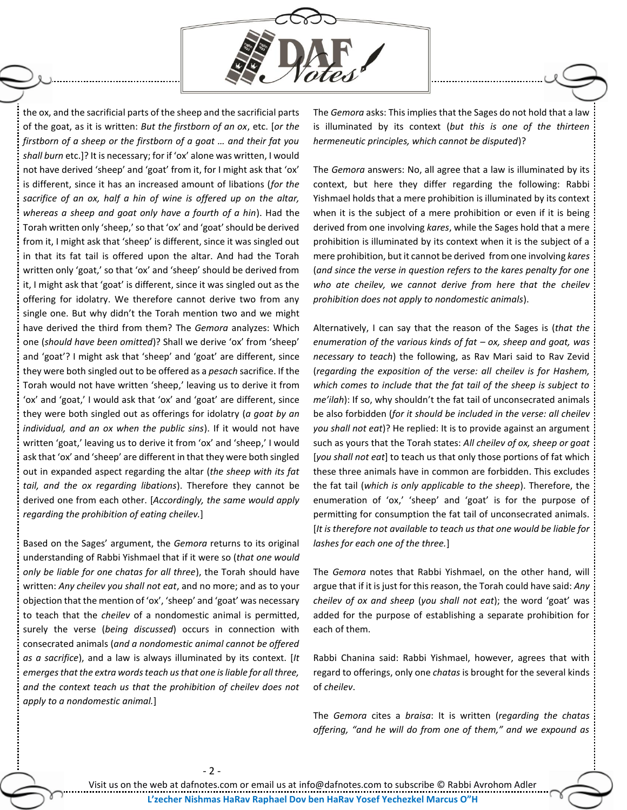

the ox, and the sacrificial parts of the sheep and the sacrificial parts of the goat, as it is written: *But the firstborn of an ox*, etc. [*or the firstborn of a sheep or the firstborn of a goat … and their fat you shall burn* etc.]? It is necessary; for if 'ox' alone was written, I would not have derived 'sheep' and 'goat' from it, for I might ask that 'ox' is different, since it has an increased amount of libations (*for the*  sacrifice of an ox, half a hin of wine is offered up on the altar, *whereas a sheep and goat only have a fourth of a hin*). Had the Torah written only 'sheep,' so that 'ox' and 'goat' should be derived from it, I might ask that 'sheep' is different, since it was singled out in that its fat tail is offered upon the altar. And had the Torah written only 'goat,' so that 'ox' and 'sheep' should be derived from it, I might ask that 'goat' is different, since it was singled out as the offering for idolatry. We therefore cannot derive two from any single one. But why didn't the Torah mention two and we might have derived the third from them? The *Gemora* analyzes: Which one (*should have been omitted*)? Shall we derive 'ox' from 'sheep' and 'goat'? I might ask that 'sheep' and 'goat' are different, since they were both singled out to be offered as a *pesach* sacrifice. If the Torah would not have written 'sheep,' leaving us to derive it from 'ox' and 'goat,' I would ask that 'ox' and 'goat' are different, since they were both singled out as offerings for idolatry (*a goat by an individual, and an ox when the public sins*). If it would not have written 'goat,' leaving us to derive it from 'ox' and 'sheep,' I would ask that 'ox' and 'sheep' are different in that they were both singled out in expanded aspect regarding the altar (*the sheep with its fat tail, and the ox regarding libations*). Therefore they cannot be derived one from each other. [*Accordingly, the same would apply regarding the prohibition of eating cheilev.*]

Based on the Sages' argument, the *Gemora* returns to its original understanding of Rabbi Yishmael that if it were so (*that one would only be liable for one chatas for all three*), the Torah should have written: *Any cheilev you shall not eat*, and no more; and as to your objection that the mention of 'ox', 'sheep' and 'goat' was necessary to teach that the *cheilev* of a nondomestic animal is permitted, surely the verse (*being discussed*) occurs in connection with consecrated animals (*and a nondomestic animal cannot be offered as a sacrifice*), and a law is always illuminated by its context. [*It emerges that the extra words teach us that one is liable for all three, and the context teach us that the prohibition of cheilev does not apply to a nondomestic animal.*]

The *Gemora* asks: This implies that the Sages do not hold that a law is illuminated by its context (*but this is one of the thirteen hermeneutic principles, which cannot be disputed*)?

The *Gemora* answers: No, all agree that a law is illuminated by its context, but here they differ regarding the following: Rabbi Yishmael holds that a mere prohibition is illuminated by its context when it is the subject of a mere prohibition or even if it is being derived from one involving *kares*, while the Sages hold that a mere prohibition is illuminated by its context when it is the subject of a mere prohibition, but it cannot be derived from one involving *kares* (*and since the verse in question refers to the kares penalty for one who ate cheilev, we cannot derive from here that the cheilev prohibition does not apply to nondomestic animals*).

Alternatively, I can say that the reason of the Sages is (*that the enumeration of the various kinds of fat – ox, sheep and goat, was necessary to teach*) the following, as Rav Mari said to Rav Zevid (*regarding the exposition of the verse: all cheilev is for Hashem, which comes to include that the fat tail of the sheep is subject to me'ilah*): If so, why shouldn't the fat tail of unconsecrated animals be also forbidden (*for it should be included in the verse: all cheilev you shall not eat*)? He replied: It is to provide against an argument such as yours that the Torah states: *All cheilev of ox, sheep or goat* [*you shall not eat*] to teach us that only those portions of fat which these three animals have in common are forbidden. This excludes the fat tail (*which is only applicable to the sheep*). Therefore, the enumeration of 'ox,' 'sheep' and 'goat' is for the purpose of permitting for consumption the fat tail of unconsecrated animals. [*It is therefore not available to teach us that one would be liable for lashes for each one of the three.*]

The *Gemora* notes that Rabbi Yishmael, on the other hand, will argue that if it is just for this reason, the Torah could have said: *Any cheilev of ox and sheep* (*you shall not eat*); the word 'goat' was added for the purpose of establishing a separate prohibition for each of them.

Rabbi Chanina said: Rabbi Yishmael, however, agrees that with regard to offerings, only one *chatas* is brought for the several kinds of *cheilev*.

The *Gemora* cites a *braisa*: It is written (*regarding the chatas offering, "and he will do from one of them," and we expound as*